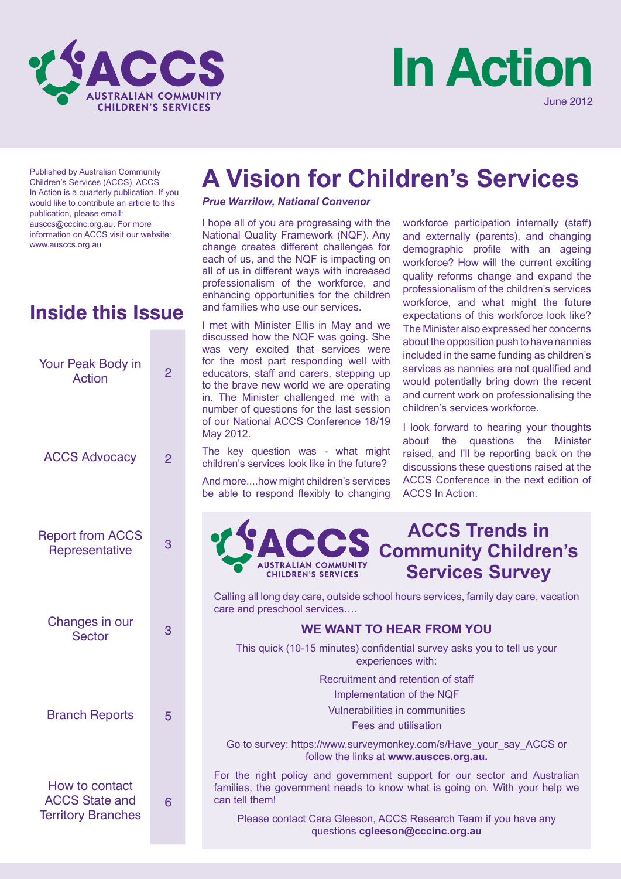

# **In Action** June 2012

Published by Australian Community Children's Services (ACCS). ACCS In Action is a quarterly publication. If you would like to contribute an article to this publication, please email: ausccs@cccinc.org.au. For more information on ACCS visit our website: www.ausccs.org.au

## **Inside this Issue**

| Your Peak Body in<br><b>Action</b>                                   | 2              |
|----------------------------------------------------------------------|----------------|
| <b>ACCS Advocacy</b>                                                 | $\overline{2}$ |
| <b>Report from ACCS</b><br>Representative                            | 3              |
| Changes in our<br><b>Sector</b>                                      | 3              |
| <b>Branch Reports</b>                                                | 5              |
| How to contact<br><b>ACCS State and</b><br><b>Territory Branches</b> | 6              |

# **A Vision for Children's Services**

#### *Prue Warrilow, National Convenor*

I hope all of you are progressing with the National Quality Framework (NQF). Any change creates different challenges for each of us, and the NQF is impacting on all of us in different ways with increased professionalism of the workforce, and enhancing opportunities for the children and families who use our services.

I met with Minister Ellis in May and we discussed how the NQF was going. She was very excited that services were for the most part responding well with educators, staff and carers, stepping up to the brave new world we are operating in. The Minister challenged me with a number of questions for the last session of our National ACCS Conference 18/19 May 2012.

The key question was - what might children's services look like in the future?

And more....how might children's services be able to respond flexibly to changing

**CHILDREN'S SERVICES** 

workforce participation internally (staff) and externally (parents), and changing demographic profile with an ageing workforce? How will the current exciting quality reforms change and expand the professionalism of the children's services workforce, and what might the future expectations of this workforce look like? The Minister also expressed her concerns about the opposition push to have nannies included in the same funding as children's services as nannies are not qualified and would potentially bring down the recent and current work on professionalising the children's services workforce.

I look forward to hearing your thoughts about the questions the Minister raised, and I'll be reporting back on the discussions these questions raised at the ACCS Conference in the next edition of ACCS In Action.

## **ACCS Trends in Community Children's Services Survey**

Calling all long day care, outside school hours services, family day care, vacation care and preschool services….

| <b>WE WANT TO HEAR FROM YOU</b>                                                                                                                                           |
|---------------------------------------------------------------------------------------------------------------------------------------------------------------------------|
| This quick (10-15 minutes) confidential survey asks you to tell us your<br>experiences with:                                                                              |
| Recruitment and retention of staff                                                                                                                                        |
| Implementation of the NQF                                                                                                                                                 |
| Vulnerabilities in communities                                                                                                                                            |
| Fees and utilisation                                                                                                                                                      |
| Go to survey: https://www.surveymonkey.com/s/Have your say ACCS or<br>follow the links at www.ausccs.org.au.                                                              |
| For the right policy and government support for our sector and Australian<br>families, the government needs to know what is going on. With your help we<br>can tell them! |
| Please contact Cara Gleeson, ACCS Research Team if you have any<br>questions cgleeson@cccinc.org.au                                                                       |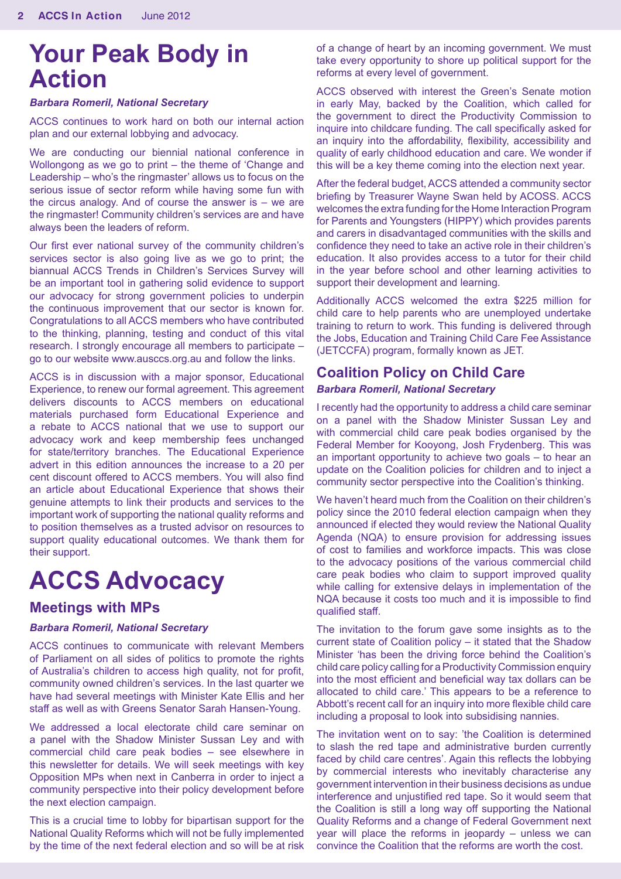# **Your Peak Body in Action**

#### *Barbara Romeril, National Secretary*

ACCS continues to work hard on both our internal action plan and our external lobbying and advocacy.

We are conducting our biennial national conference in Wollongong as we go to print – the theme of 'Change and Leadership – who's the ringmaster' allows us to focus on the serious issue of sector reform while having some fun with the circus analogy. And of course the answer is – we are the ringmaster! Community children's services are and have always been the leaders of reform.

Our first ever national survey of the community children's services sector is also going live as we go to print; the biannual ACCS Trends in Children's Services Survey will be an important tool in gathering solid evidence to support our advocacy for strong government policies to underpin the continuous improvement that our sector is known for. Congratulations to all ACCS members who have contributed to the thinking, planning, testing and conduct of this vital research. I strongly encourage all members to participate – go to our website www.ausccs.org.au and follow the links.

ACCS is in discussion with a major sponsor, Educational Experience, to renew our formal agreement. This agreement delivers discounts to ACCS members on educational materials purchased form Educational Experience and a rebate to ACCS national that we use to support our advocacy work and keep membership fees unchanged for state/territory branches. The Educational Experience advert in this edition announces the increase to a 20 per cent discount offered to ACCS members. You will also find an article about Educational Experience that shows their genuine attempts to link their products and services to the important work of supporting the national quality reforms and to position themselves as a trusted advisor on resources to support quality educational outcomes. We thank them for their support.

# **ACCS Advocacy**

## **Meetings with MPs**

#### *Barbara Romeril, National Secretary*

ACCS continues to communicate with relevant Members of Parliament on all sides of politics to promote the rights of Australia's children to access high quality, not for profit, community owned children's services. In the last quarter we have had several meetings with Minister Kate Ellis and her staff as well as with Greens Senator Sarah Hansen-Young.

We addressed a local electorate child care seminar on a panel with the Shadow Minister Sussan Ley and with commercial child care peak bodies – see elsewhere in this newsletter for details. We will seek meetings with key Opposition MPs when next in Canberra in order to inject a community perspective into their policy development before the next election campaign.

This is a crucial time to lobby for bipartisan support for the National Quality Reforms which will not be fully implemented by the time of the next federal election and so will be at risk of a change of heart by an incoming government. We must take every opportunity to shore up political support for the reforms at every level of government.

ACCS observed with interest the Green's Senate motion in early May, backed by the Coalition, which called for the government to direct the Productivity Commission to inquire into childcare funding. The call specifically asked for an inquiry into the affordability, flexibility, accessibility and quality of early childhood education and care. We wonder if this will be a key theme coming into the election next year.

After the federal budget, ACCS attended a community sector briefing by Treasurer Wayne Swan held by ACOSS. ACCS welcomes the extra funding for the Home Interaction Program for Parents and Youngsters (HIPPY) which provides parents and carers in disadvantaged communities with the skills and confidence they need to take an active role in their children's education. It also provides access to a tutor for their child in the year before school and other learning activities to support their development and learning.

Additionally ACCS welcomed the extra \$225 million for child care to help parents who are unemployed undertake training to return to work. This funding is delivered through the Jobs, Education and Training Child Care Fee Assistance (JETCCFA) program, formally known as JET.

## **Coalition Policy on Child Care**

#### *Barbara Romeril, National Secretary*

I recently had the opportunity to address a child care seminar on a panel with the Shadow Minister Sussan Ley and with commercial child care peak bodies organised by the Federal Member for Kooyong, Josh Frydenberg. This was an important opportunity to achieve two goals – to hear an update on the Coalition policies for children and to inject a community sector perspective into the Coalition's thinking.

We haven't heard much from the Coalition on their children's policy since the 2010 federal election campaign when they announced if elected they would review the National Quality Agenda (NQA) to ensure provision for addressing issues of cost to families and workforce impacts. This was close to the advocacy positions of the various commercial child care peak bodies who claim to support improved quality while calling for extensive delays in implementation of the NQA because it costs too much and it is impossible to find qualified staff.

The invitation to the forum gave some insights as to the current state of Coalition policy – it stated that the Shadow Minister 'has been the driving force behind the Coalition's child care policy calling for a Productivity Commission enquiry into the most efficient and beneficial way tax dollars can be allocated to child care.' This appears to be a reference to Abbott's recent call for an inquiry into more flexible child care including a proposal to look into subsidising nannies.

The invitation went on to say: 'the Coalition is determined to slash the red tape and administrative burden currently faced by child care centres'. Again this reflects the lobbying by commercial interests who inevitably characterise any government intervention in their business decisions as undue interference and unjustified red tape. So it would seem that the Coalition is still a long way off supporting the National Quality Reforms and a change of Federal Government next year will place the reforms in jeopardy – unless we can convince the Coalition that the reforms are worth the cost.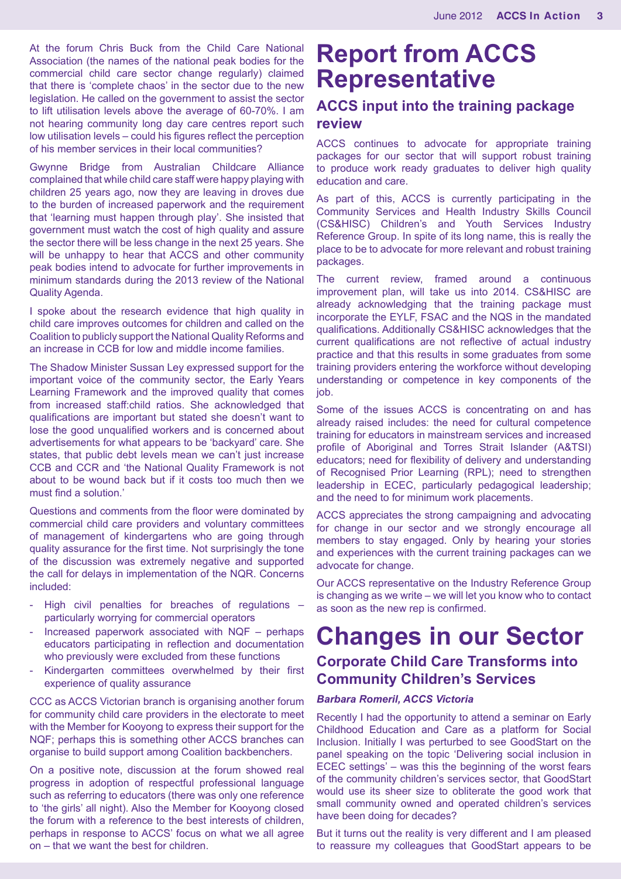At the forum Chris Buck from the Child Care National Association (the names of the national peak bodies for the commercial child care sector change regularly) claimed that there is 'complete chaos' in the sector due to the new legislation. He called on the government to assist the sector to lift utilisation levels above the average of 60-70%. I am not hearing community long day care centres report such low utilisation levels – could his figures reflect the perception of his member services in their local communities?

Gwynne Bridge from Australian Childcare Alliance complained that while child care staff were happy playing with children 25 years ago, now they are leaving in droves due to the burden of increased paperwork and the requirement that 'learning must happen through play'. She insisted that government must watch the cost of high quality and assure the sector there will be less change in the next 25 years. She will be unhappy to hear that ACCS and other community peak bodies intend to advocate for further improvements in minimum standards during the 2013 review of the National Quality Agenda.

I spoke about the research evidence that high quality in child care improves outcomes for children and called on the Coalition to publicly support the National Quality Reforms and an increase in CCB for low and middle income families.

The Shadow Minister Sussan Ley expressed support for the important voice of the community sector, the Early Years Learning Framework and the improved quality that comes from increased staff:child ratios. She acknowledged that qualifications are important but stated she doesn't want to lose the good unqualified workers and is concerned about advertisements for what appears to be 'backyard' care. She states, that public debt levels mean we can't just increase CCB and CCR and 'the National Quality Framework is not about to be wound back but if it costs too much then we must find a solution.'

Questions and comments from the floor were dominated by commercial child care providers and voluntary committees of management of kindergartens who are going through quality assurance for the first time. Not surprisingly the tone of the discussion was extremely negative and supported the call for delays in implementation of the NQR. Concerns included:

- High civil penalties for breaches of regulations particularly worrying for commercial operators
- Increased paperwork associated with  $NQF -$  perhaps educators participating in reflection and documentation who previously were excluded from these functions
- Kindergarten committees overwhelmed by their first experience of quality assurance

CCC as ACCS Victorian branch is organising another forum for community child care providers in the electorate to meet with the Member for Kooyong to express their support for the NQF; perhaps this is something other ACCS branches can organise to build support among Coalition backbenchers.

On a positive note, discussion at the forum showed real progress in adoption of respectful professional language such as referring to educators (there was only one reference to 'the girls' all night). Also the Member for Kooyong closed the forum with a reference to the best interests of children, perhaps in response to ACCS' focus on what we all agree on – that we want the best for children.

# **Report from ACCS Representative**

## **ACCS input into the training package review**

ACCS continues to advocate for appropriate training packages for our sector that will support robust training to produce work ready graduates to deliver high quality education and care.

As part of this, ACCS is currently participating in the Community Services and Health Industry Skills Council (CS&HISC) Children's and Youth Services Industry Reference Group. In spite of its long name, this is really the place to be to advocate for more relevant and robust training packages.

The current review, framed around a continuous improvement plan, will take us into 2014. CS&HISC are already acknowledging that the training package must incorporate the EYLF, FSAC and the NQS in the mandated qualifications. Additionally CS&HISC acknowledges that the current qualifications are not reflective of actual industry practice and that this results in some graduates from some training providers entering the workforce without developing understanding or competence in key components of the job.

Some of the issues ACCS is concentrating on and has already raised includes: the need for cultural competence training for educators in mainstream services and increased profile of Aboriginal and Torres Strait Islander (A&TSI) educators; need for flexibility of delivery and understanding of Recognised Prior Learning (RPL); need to strengthen leadership in ECEC, particularly pedagogical leadership; and the need to for minimum work placements.

ACCS appreciates the strong campaigning and advocating for change in our sector and we strongly encourage all members to stay engaged. Only by hearing your stories and experiences with the current training packages can we advocate for change.

Our ACCS representative on the Industry Reference Group is changing as we write – we will let you know who to contact as soon as the new rep is confirmed.

## **Changes in our Sector Corporate Child Care Transforms into Community Children's Services**

#### *Barbara Romeril, ACCS Victoria*

Recently I had the opportunity to attend a seminar on Early Childhood Education and Care as a platform for Social Inclusion. Initially I was perturbed to see GoodStart on the panel speaking on the topic 'Delivering social inclusion in ECEC settings' – was this the beginning of the worst fears of the community children's services sector, that GoodStart would use its sheer size to obliterate the good work that small community owned and operated children's services have been doing for decades?

But it turns out the reality is very different and I am pleased to reassure my colleagues that GoodStart appears to be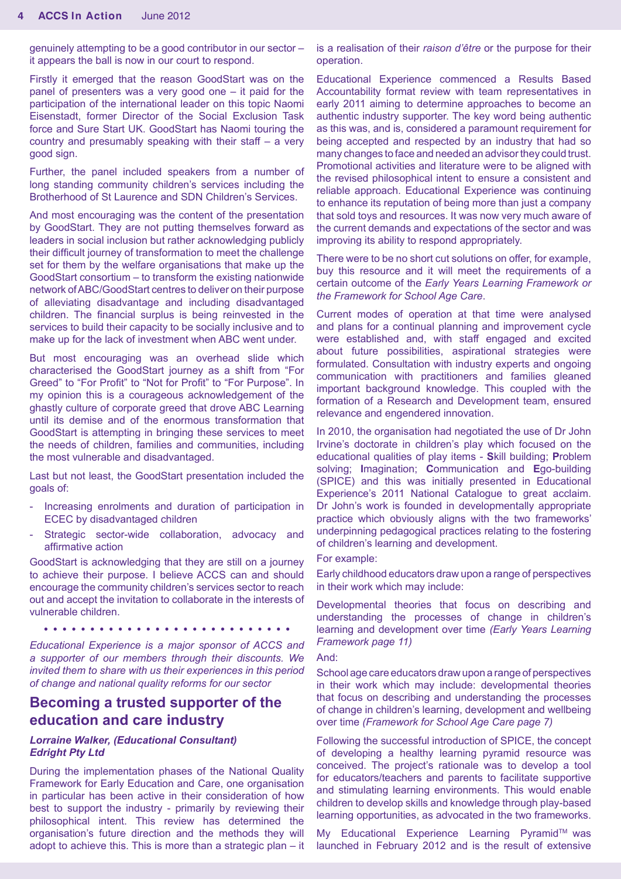genuinely attempting to be a good contributor in our sector – it appears the ball is now in our court to respond.

Firstly it emerged that the reason GoodStart was on the panel of presenters was a very good one – it paid for the participation of the international leader on this topic Naomi Eisenstadt, former Director of the Social Exclusion Task force and Sure Start UK. GoodStart has Naomi touring the country and presumably speaking with their staff – a very good sign.

Further, the panel included speakers from a number of long standing community children's services including the Brotherhood of St Laurence and SDN Children's Services.

And most encouraging was the content of the presentation by GoodStart. They are not putting themselves forward as leaders in social inclusion but rather acknowledging publicly their difficult journey of transformation to meet the challenge set for them by the welfare organisations that make up the GoodStart consortium – to transform the existing nationwide network of ABC/GoodStart centres to deliver on their purpose of alleviating disadvantage and including disadvantaged children. The financial surplus is being reinvested in the services to build their capacity to be socially inclusive and to make up for the lack of investment when ABC went under.

But most encouraging was an overhead slide which characterised the GoodStart journey as a shift from "For Greed" to "For Profit" to "Not for Profit" to "For Purpose". In my opinion this is a courageous acknowledgement of the ghastly culture of corporate greed that drove ABC Learning until its demise and of the enormous transformation that GoodStart is attempting in bringing these services to meet the needs of children, families and communities, including the most vulnerable and disadvantaged.

Last but not least, the GoodStart presentation included the goals of:

- Increasing enrolments and duration of participation in ECEC by disadvantaged children
- Strategic sector-wide collaboration, advocacy and affirmative action

GoodStart is acknowledging that they are still on a journey to achieve their purpose. I believe ACCS can and should encourage the community children's services sector to reach out and accept the invitation to collaborate in the interests of vulnerable children.

*Educational Experience is a major sponsor of ACCS and a supporter of our members through their discounts. We invited them to share with us their experiences in this period of change and national quality reforms for our sector*

## **Becoming a trusted supporter of the education and care industry**

#### *Lorraine Walker, (Educational Consultant) Edright Pty Ltd*

During the implementation phases of the National Quality Framework for Early Education and Care, one organisation in particular has been active in their consideration of how best to support the industry - primarily by reviewing their philosophical intent. This review has determined the organisation's future direction and the methods they will adopt to achieve this. This is more than a strategic plan – it

is a realisation of their *raison d'être* or the purpose for their operation.

Educational Experience commenced a Results Based Accountability format review with team representatives in early 2011 aiming to determine approaches to become an authentic industry supporter. The key word being authentic as this was, and is, considered a paramount requirement for being accepted and respected by an industry that had so many changes to face and needed an advisor they could trust. Promotional activities and literature were to be aligned with the revised philosophical intent to ensure a consistent and reliable approach. Educational Experience was continuing to enhance its reputation of being more than just a company that sold toys and resources. It was now very much aware of the current demands and expectations of the sector and was improving its ability to respond appropriately.

There were to be no short cut solutions on offer, for example, buy this resource and it will meet the requirements of a certain outcome of the *Early Years Learning Framework or the Framework for School Age Care*.

Current modes of operation at that time were analysed and plans for a continual planning and improvement cycle were established and, with staff engaged and excited about future possibilities, aspirational strategies were formulated. Consultation with industry experts and ongoing communication with practitioners and families gleaned important background knowledge. This coupled with the formation of a Research and Development team, ensured relevance and engendered innovation.

In 2010, the organisation had negotiated the use of Dr John Irvine's doctorate in children's play which focused on the educational qualities of play items - **S**kill building; **P**roblem solving; **I**magination; **C**ommunication and **E**go-building (SPICE) and this was initially presented in Educational Experience's 2011 National Catalogue to great acclaim. Dr John's work is founded in developmentally appropriate practice which obviously aligns with the two frameworks' underpinning pedagogical practices relating to the fostering of children's learning and development.

For example:

Early childhood educators draw upon a range of perspectives in their work which may include:

Developmental theories that focus on describing and understanding the processes of change in children's learning and development over time *(Early Years Learning Framework page 11)*

#### And:

School age care educators draw upon a range of perspectives in their work which may include: developmental theories that focus on describing and understanding the processes of change in children's learning, development and wellbeing over time *(Framework for School Age Care page 7)*

Following the successful introduction of SPICE, the concept of developing a healthy learning pyramid resource was conceived. The project's rationale was to develop a tool for educators/teachers and parents to facilitate supportive and stimulating learning environments. This would enable children to develop skills and knowledge through play-based learning opportunities, as advocated in the two frameworks.

My Educational Experience Learning Pyramid™ was launched in February 2012 and is the result of extensive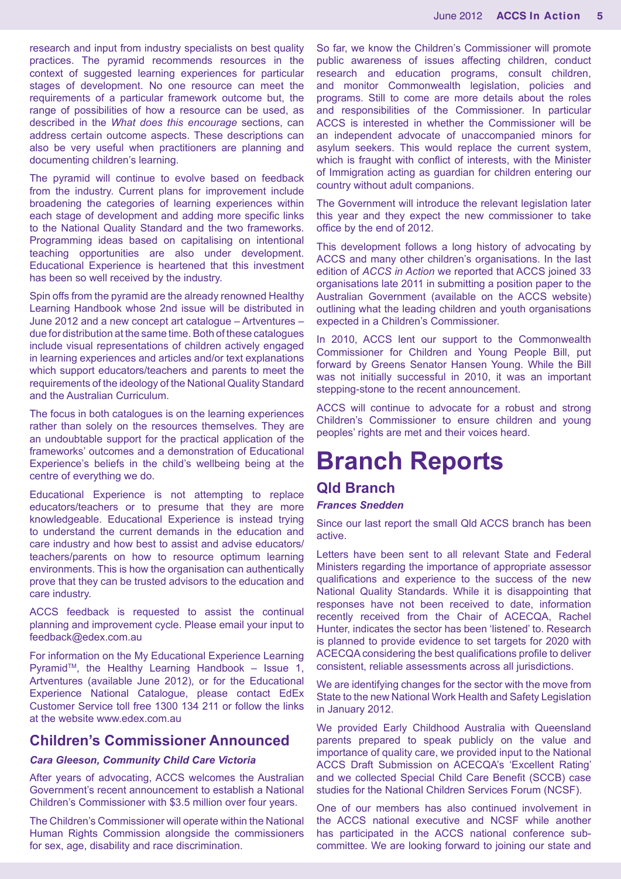research and input from industry specialists on best quality practices. The pyramid recommends resources in the context of suggested learning experiences for particular stages of development. No one resource can meet the requirements of a particular framework outcome but, the range of possibilities of how a resource can be used, as described in the *What does this encourage* sections, can address certain outcome aspects. These descriptions can also be very useful when practitioners are planning and documenting children's learning.

The pyramid will continue to evolve based on feedback from the industry. Current plans for improvement include broadening the categories of learning experiences within each stage of development and adding more specific links to the National Quality Standard and the two frameworks. Programming ideas based on capitalising on intentional teaching opportunities are also under development. Educational Experience is heartened that this investment has been so well received by the industry.

Spin offs from the pyramid are the already renowned Healthy Learning Handbook whose 2nd issue will be distributed in June 2012 and a new concept art catalogue – Artventures – due for distribution at the same time. Both of these catalogues include visual representations of children actively engaged in learning experiences and articles and/or text explanations which support educators/teachers and parents to meet the requirements of the ideology of the National Quality Standard and the Australian Curriculum.

The focus in both catalogues is on the learning experiences rather than solely on the resources themselves. They are an undoubtable support for the practical application of the frameworks' outcomes and a demonstration of Educational Experience's beliefs in the child's wellbeing being at the centre of everything we do.

Educational Experience is not attempting to replace educators/teachers or to presume that they are more knowledgeable. Educational Experience is instead trying to understand the current demands in the education and care industry and how best to assist and advise educators/ teachers/parents on how to resource optimum learning environments. This is how the organisation can authentically prove that they can be trusted advisors to the education and care industry.

ACCS feedback is requested to assist the continual planning and improvement cycle. Please email your input to feedback@edex.com.au

For information on the My Educational Experience Learning Pyramid<sup>TM</sup>, the Healthy Learning Handbook – Issue 1, Artventures (available June 2012), or for the Educational Experience National Catalogue, please contact EdEx Customer Service toll free 1300 134 211 or follow the links at the website www.edex.com.au

### **Children's Commissioner Announced**

#### *Cara Gleeson, Community Child Care Victoria*

After years of advocating, ACCS welcomes the Australian Government's recent announcement to establish a National Children's Commissioner with \$3.5 million over four years.

The Children's Commissioner will operate within the National Human Rights Commission alongside the commissioners for sex, age, disability and race discrimination.

So far, we know the Children's Commissioner will promote public awareness of issues affecting children, conduct research and education programs, consult children, and monitor Commonwealth legislation, policies and programs. Still to come are more details about the roles and responsibilities of the Commissioner. In particular ACCS is interested in whether the Commissioner will be an independent advocate of unaccompanied minors for asylum seekers. This would replace the current system, which is fraught with conflict of interests, with the Minister of Immigration acting as guardian for children entering our country without adult companions.

The Government will introduce the relevant legislation later this year and they expect the new commissioner to take office by the end of 2012.

This development follows a long history of advocating by ACCS and many other children's organisations. In the last edition of *ACCS in Action* we reported that ACCS joined 33 organisations late 2011 in submitting a position paper to the Australian Government (available on the ACCS website) outlining what the leading children and youth organisations expected in a Children's Commissioner.

In 2010, ACCS lent our support to the Commonwealth Commissioner for Children and Young People Bill, put forward by Greens Senator Hansen Young. While the Bill was not initially successful in 2010, it was an important stepping-stone to the recent announcement.

ACCS will continue to advocate for a robust and strong Children's Commissioner to ensure children and young peoples' rights are met and their voices heard.

# **Branch Reports**

### **Qld Branch**

#### *Frances Snedden*

Since our last report the small Qld ACCS branch has been active.

Letters have been sent to all relevant State and Federal Ministers regarding the importance of appropriate assessor qualifications and experience to the success of the new National Quality Standards. While it is disappointing that responses have not been received to date, information recently received from the Chair of ACECQA, Rachel Hunter, indicates the sector has been 'listened' to. Research is planned to provide evidence to set targets for 2020 with ACECQA considering the best qualifications profile to deliver consistent, reliable assessments across all jurisdictions.

We are identifying changes for the sector with the move from State to the new National Work Health and Safety Legislation in January 2012.

We provided Early Childhood Australia with Queensland parents prepared to speak publicly on the value and importance of quality care, we provided input to the National ACCS Draft Submission on ACECQA's 'Excellent Rating' and we collected Special Child Care Benefit (SCCB) case studies for the National Children Services Forum (NCSF).

One of our members has also continued involvement in the ACCS national executive and NCSF while another has participated in the ACCS national conference subcommittee. We are looking forward to joining our state and